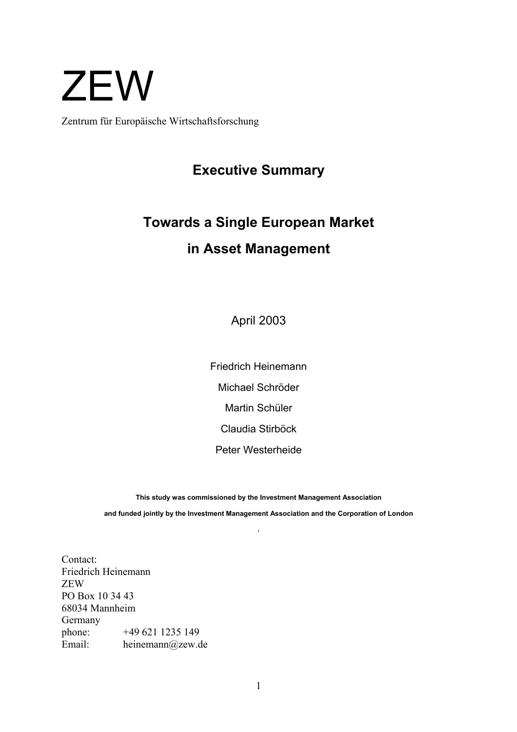# **ZEW**

Zentrum für Europäische Wirtschaftsforschung

### **Executive Summary**

## **Towards a Single European Market in Asset Management**

April 2003

Friedrich Heinemann Michael Schröder Martin Schüler Claudia Stirböck Peter Westerheide

**This study was commissioned by the Investment Management Association and funded jointly by the Investment Management Association and the Corporation of London** 

**.**

Contact: Friedrich Heinemann ZEW PO Box 10 34 43 68034 Mannheim Germany phone: +49 621 1235 149 Email: heinemann@zew.de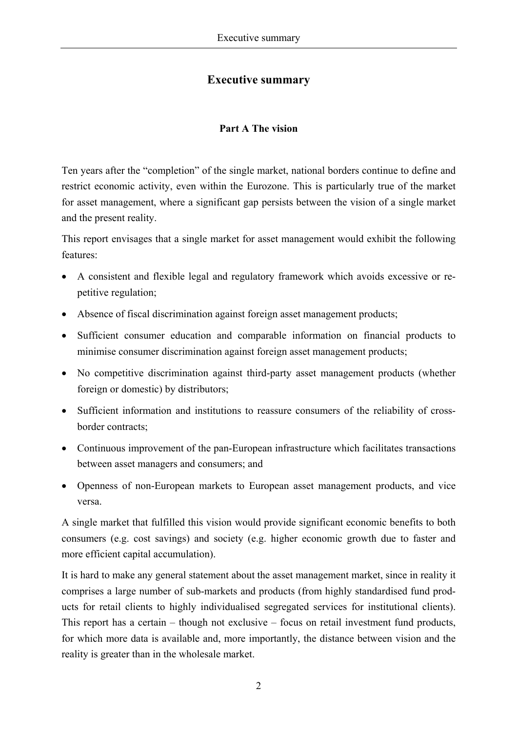#### **Executive summary**

#### **Part A The vision**

Ten years after the "completion" of the single market, national borders continue to define and restrict economic activity, even within the Eurozone. This is particularly true of the market for asset management, where a significant gap persists between the vision of a single market and the present reality.

This report envisages that a single market for asset management would exhibit the following features:

- A consistent and flexible legal and regulatory framework which avoids excessive or repetitive regulation;
- Absence of fiscal discrimination against foreign asset management products;
- Sufficient consumer education and comparable information on financial products to minimise consumer discrimination against foreign asset management products;
- No competitive discrimination against third-party asset management products (whether foreign or domestic) by distributors;
- Sufficient information and institutions to reassure consumers of the reliability of crossborder contracts;
- Continuous improvement of the pan-European infrastructure which facilitates transactions between asset managers and consumers; and
- Openness of non-European markets to European asset management products, and vice versa.

A single market that fulfilled this vision would provide significant economic benefits to both consumers (e.g. cost savings) and society (e.g. higher economic growth due to faster and more efficient capital accumulation).

It is hard to make any general statement about the asset management market, since in reality it comprises a large number of sub-markets and products (from highly standardised fund products for retail clients to highly individualised segregated services for institutional clients). This report has a certain – though not exclusive – focus on retail investment fund products, for which more data is available and, more importantly, the distance between vision and the reality is greater than in the wholesale market.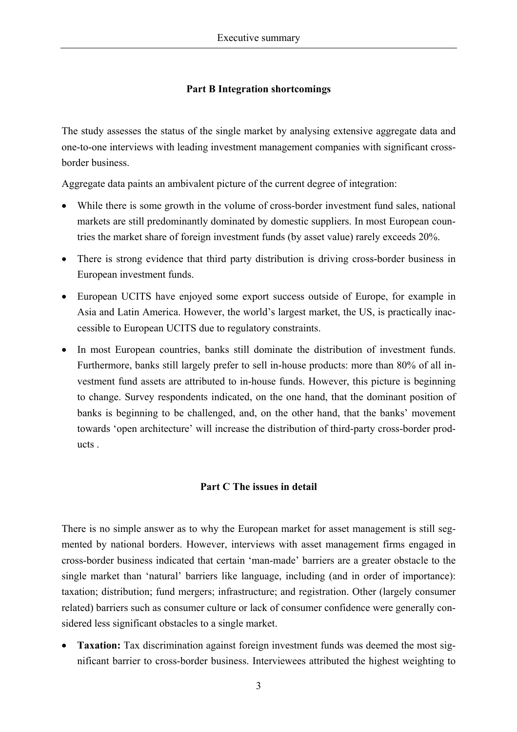#### **Part B Integration shortcomings**

The study assesses the status of the single market by analysing extensive aggregate data and one-to-one interviews with leading investment management companies with significant crossborder business.

Aggregate data paints an ambivalent picture of the current degree of integration:

- While there is some growth in the volume of cross-border investment fund sales, national markets are still predominantly dominated by domestic suppliers. In most European countries the market share of foreign investment funds (by asset value) rarely exceeds 20%.
- There is strong evidence that third party distribution is driving cross-border business in European investment funds.
- European UCITS have enjoyed some export success outside of Europe, for example in Asia and Latin America. However, the world's largest market, the US, is practically inaccessible to European UCITS due to regulatory constraints.
- In most European countries, banks still dominate the distribution of investment funds. Furthermore, banks still largely prefer to sell in-house products: more than 80% of all investment fund assets are attributed to in-house funds. However, this picture is beginning to change. Survey respondents indicated, on the one hand, that the dominant position of banks is beginning to be challenged, and, on the other hand, that the banks' movement towards 'open architecture' will increase the distribution of third-party cross-border products .

#### **Part C The issues in detail**

There is no simple answer as to why the European market for asset management is still segmented by national borders. However, interviews with asset management firms engaged in cross-border business indicated that certain 'man-made' barriers are a greater obstacle to the single market than 'natural' barriers like language, including (and in order of importance): taxation; distribution; fund mergers; infrastructure; and registration. Other (largely consumer related) barriers such as consumer culture or lack of consumer confidence were generally considered less significant obstacles to a single market.

• **Taxation:** Tax discrimination against foreign investment funds was deemed the most significant barrier to cross-border business. Interviewees attributed the highest weighting to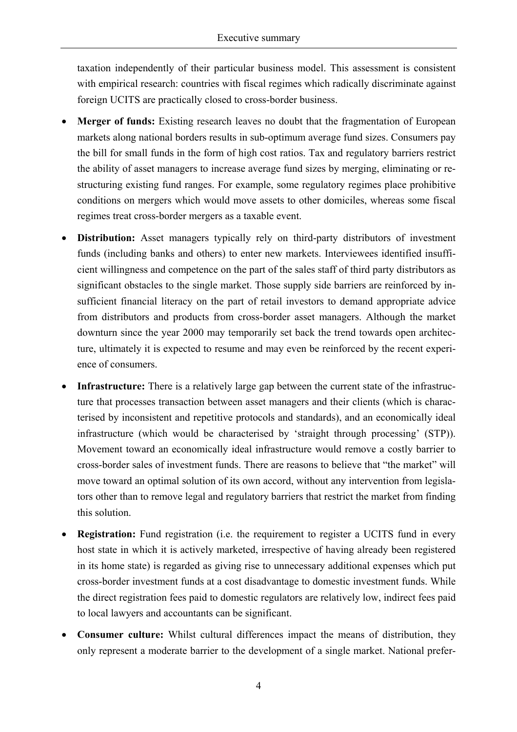taxation independently of their particular business model. This assessment is consistent with empirical research: countries with fiscal regimes which radically discriminate against foreign UCITS are practically closed to cross-border business.

- **Merger of funds:** Existing research leaves no doubt that the fragmentation of European markets along national borders results in sub-optimum average fund sizes. Consumers pay the bill for small funds in the form of high cost ratios. Tax and regulatory barriers restrict the ability of asset managers to increase average fund sizes by merging, eliminating or restructuring existing fund ranges. For example, some regulatory regimes place prohibitive conditions on mergers which would move assets to other domiciles, whereas some fiscal regimes treat cross-border mergers as a taxable event.
- **Distribution:** Asset managers typically rely on third-party distributors of investment funds (including banks and others) to enter new markets. Interviewees identified insufficient willingness and competence on the part of the sales staff of third party distributors as significant obstacles to the single market. Those supply side barriers are reinforced by insufficient financial literacy on the part of retail investors to demand appropriate advice from distributors and products from cross-border asset managers. Although the market downturn since the year 2000 may temporarily set back the trend towards open architecture, ultimately it is expected to resume and may even be reinforced by the recent experience of consumers.
- **Infrastructure:** There is a relatively large gap between the current state of the infrastructure that processes transaction between asset managers and their clients (which is characterised by inconsistent and repetitive protocols and standards), and an economically ideal infrastructure (which would be characterised by 'straight through processing' (STP)). Movement toward an economically ideal infrastructure would remove a costly barrier to cross-border sales of investment funds. There are reasons to believe that "the market" will move toward an optimal solution of its own accord, without any intervention from legislators other than to remove legal and regulatory barriers that restrict the market from finding this solution.
- **Registration:** Fund registration (i.e. the requirement to register a UCITS fund in every host state in which it is actively marketed, irrespective of having already been registered in its home state) is regarded as giving rise to unnecessary additional expenses which put cross-border investment funds at a cost disadvantage to domestic investment funds. While the direct registration fees paid to domestic regulators are relatively low, indirect fees paid to local lawyers and accountants can be significant.
- **Consumer culture:** Whilst cultural differences impact the means of distribution, they only represent a moderate barrier to the development of a single market. National prefer-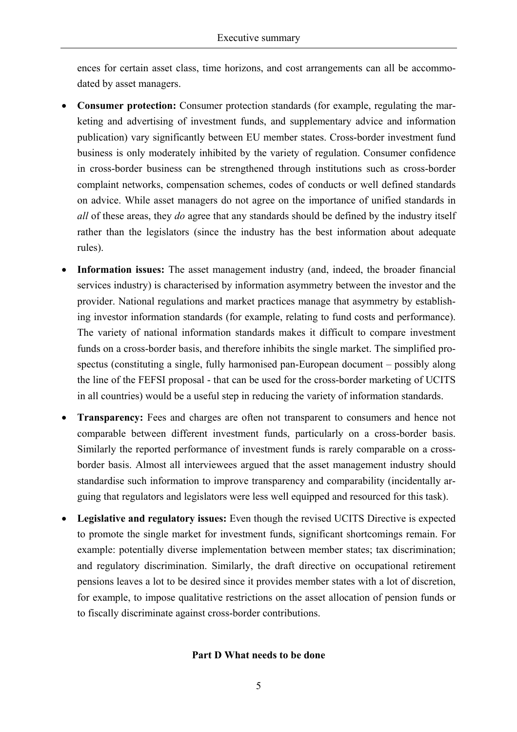ences for certain asset class, time horizons, and cost arrangements can all be accommodated by asset managers.

- **Consumer protection:** Consumer protection standards (for example, regulating the marketing and advertising of investment funds, and supplementary advice and information publication) vary significantly between EU member states. Cross-border investment fund business is only moderately inhibited by the variety of regulation. Consumer confidence in cross-border business can be strengthened through institutions such as cross-border complaint networks, compensation schemes, codes of conducts or well defined standards on advice. While asset managers do not agree on the importance of unified standards in *all* of these areas, they *do* agree that any standards should be defined by the industry itself rather than the legislators (since the industry has the best information about adequate rules).
- Information issues: The asset management industry (and, indeed, the broader financial services industry) is characterised by information asymmetry between the investor and the provider. National regulations and market practices manage that asymmetry by establishing investor information standards (for example, relating to fund costs and performance). The variety of national information standards makes it difficult to compare investment funds on a cross-border basis, and therefore inhibits the single market. The simplified prospectus (constituting a single, fully harmonised pan-European document – possibly along the line of the FEFSI proposal - that can be used for the cross-border marketing of UCITS in all countries) would be a useful step in reducing the variety of information standards.
- **Transparency:** Fees and charges are often not transparent to consumers and hence not comparable between different investment funds, particularly on a cross-border basis. Similarly the reported performance of investment funds is rarely comparable on a crossborder basis. Almost all interviewees argued that the asset management industry should standardise such information to improve transparency and comparability (incidentally arguing that regulators and legislators were less well equipped and resourced for this task).
- **Legislative and regulatory issues:** Even though the revised UCITS Directive is expected to promote the single market for investment funds, significant shortcomings remain. For example: potentially diverse implementation between member states; tax discrimination; and regulatory discrimination. Similarly, the draft directive on occupational retirement pensions leaves a lot to be desired since it provides member states with a lot of discretion, for example, to impose qualitative restrictions on the asset allocation of pension funds or to fiscally discriminate against cross-border contributions.

#### **Part D What needs to be done**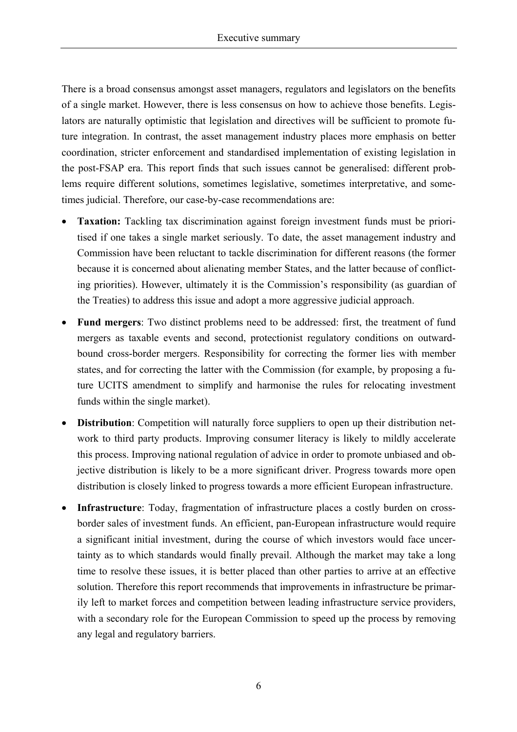There is a broad consensus amongst asset managers, regulators and legislators on the benefits of a single market. However, there is less consensus on how to achieve those benefits. Legislators are naturally optimistic that legislation and directives will be sufficient to promote future integration. In contrast, the asset management industry places more emphasis on better coordination, stricter enforcement and standardised implementation of existing legislation in the post-FSAP era. This report finds that such issues cannot be generalised: different problems require different solutions, sometimes legislative, sometimes interpretative, and sometimes judicial. Therefore, our case-by-case recommendations are:

- **Taxation:** Tackling tax discrimination against foreign investment funds must be prioritised if one takes a single market seriously. To date, the asset management industry and Commission have been reluctant to tackle discrimination for different reasons (the former because it is concerned about alienating member States, and the latter because of conflicting priorities). However, ultimately it is the Commission's responsibility (as guardian of the Treaties) to address this issue and adopt a more aggressive judicial approach.
- **Fund mergers**: Two distinct problems need to be addressed: first, the treatment of fund mergers as taxable events and second, protectionist regulatory conditions on outwardbound cross-border mergers. Responsibility for correcting the former lies with member states, and for correcting the latter with the Commission (for example, by proposing a future UCITS amendment to simplify and harmonise the rules for relocating investment funds within the single market).
- **Distribution**: Competition will naturally force suppliers to open up their distribution network to third party products. Improving consumer literacy is likely to mildly accelerate this process. Improving national regulation of advice in order to promote unbiased and objective distribution is likely to be a more significant driver. Progress towards more open distribution is closely linked to progress towards a more efficient European infrastructure.
- **Infrastructure**: Today, fragmentation of infrastructure places a costly burden on crossborder sales of investment funds. An efficient, pan-European infrastructure would require a significant initial investment, during the course of which investors would face uncertainty as to which standards would finally prevail. Although the market may take a long time to resolve these issues, it is better placed than other parties to arrive at an effective solution. Therefore this report recommends that improvements in infrastructure be primarily left to market forces and competition between leading infrastructure service providers, with a secondary role for the European Commission to speed up the process by removing any legal and regulatory barriers.